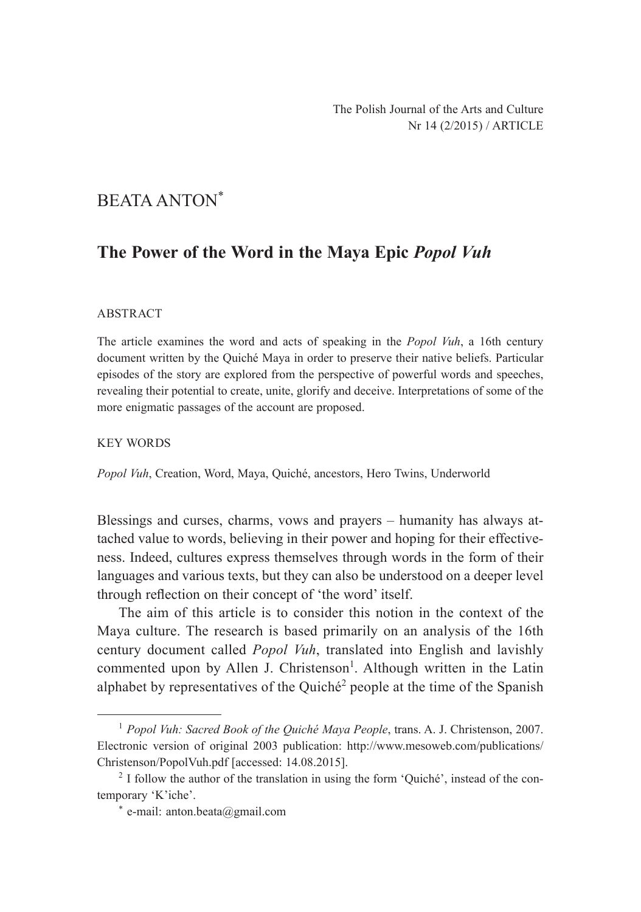# BEATA ANTON\*

# **The Power of the Word in the Maya Epic** *Popol Vuh*

#### ABSTRACT

The article examines the word and acts of speaking in the *Popol Vuh*, a 16th century document written by the Quiché Maya in order to preserve their native beliefs. Particular episodes of the story are explored from the perspective of powerful words and speeches, revealing their potential to create, unite, glorify and deceive. Interpretations of some of the more enigmatic passages of the account are proposed.

#### KEY WORDS

*Popol Vuh*, Creation, Word, Maya, Quiché, ancestors, Hero Twins, Underworld

Blessings and curses, charms, vows and prayers – humanity has always attached value to words, believing in their power and hoping for their effectiveness. Indeed, cultures express themselves through words in the form of their languages and various texts, but they can also be understood on a deeper level through reflection on their concept of 'the word' itself.

The aim of this article is to consider this notion in the context of the Maya culture. The research is based primarily on an analysis of the 16th century document called *Popol Vuh*, translated into English and lavishly commented upon by Allen J. Christenson<sup>1</sup>. Although written in the Latin alphabet by representatives of the Quiché<sup>2</sup> people at the time of the Spanish

<sup>1</sup> *Popol Vuh: Sacred Book of the Quiché Maya People*, trans. A. J. Christenson, 2007. Electronic version of original 2003 publication: http://www.mesoweb.com/publications/ Christenson/PopolVuh.pdf [accessed: 14.08.2015].

<sup>&</sup>lt;sup>2</sup> I follow the author of the translation in using the form 'Quiché', instead of the contemporary 'K'iche'.

<sup>\*</sup> e-mail: anton.beata@gmail.com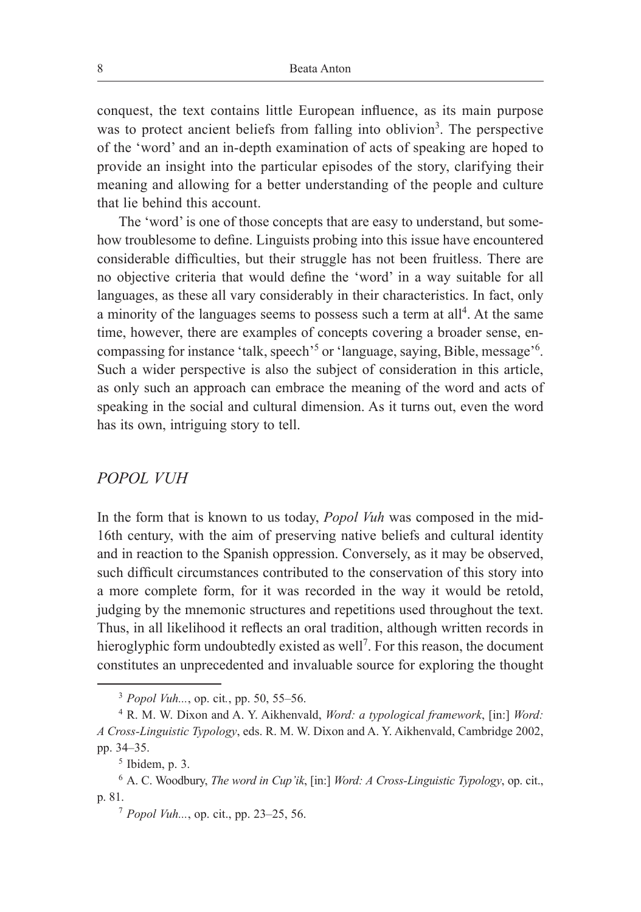conquest, the text contains little European influence, as its main purpose was to protect ancient beliefs from falling into oblivion<sup>3</sup>. The perspective of the 'word' and an in-depth examination of acts of speaking are hoped to provide an insight into the particular episodes of the story, clarifying their meaning and allowing for a better understanding of the people and culture that lie behind this account.

The 'word' is one of those concepts that are easy to understand, but somehow troublesome to define. Linguists probing into this issue have encountered considerable difficulties, but their struggle has not been fruitless. There are no objective criteria that would define the 'word' in a way suitable for all languages, as these all vary considerably in their characteristics. In fact, only a minority of the languages seems to possess such a term at all<sup>4</sup>. At the same time, however, there are examples of concepts covering a broader sense, encompassing for instance 'talk, speech'<sup>5</sup> or 'language, saying, Bible, message'<sup>6</sup>. Such a wider perspective is also the subject of consideration in this article, as only such an approach can embrace the meaning of the word and acts of speaking in the social and cultural dimension. As it turns out, even the word has its own, intriguing story to tell.

### *POPOL VUH*

In the form that is known to us today, *Popol Vuh* was composed in the mid-16th century, with the aim of preserving native beliefs and cultural identity and in reaction to the Spanish oppression. Conversely, as it may be observed, such difficult circumstances contributed to the conservation of this story into a more complete form, for it was recorded in the way it would be retold, judging by the mnemonic structures and repetitions used throughout the text. Thus, in all likelihood it reflects an oral tradition, although written records in hieroglyphic form undoubtedly existed as well<sup>7</sup>. For this reason, the document constitutes an unprecedented and invaluable source for exploring the thought

<sup>3</sup> *Popol Vuh...*, op. cit*.*, pp. 50, 55–56.

<sup>4</sup> R. M. W. Dixon and A. Y. Aikhenvald, *Word: a typological framework*, [in:] *Word: A Cross-Linguistic Typology*, eds. R. M. W. Dixon and A. Y. Aikhenvald, Cambridge 2002, pp. 34–35.

 $<sup>5</sup>$  Ibidem, p. 3.</sup>

<sup>6</sup> A. C. Woodbury, *The word in Cup'ik*, [in:] *Word: A Cross-Linguistic Typology*, op. cit., p. 81.7 *Popol Vuh...*, op. cit., pp. 23–25, 56.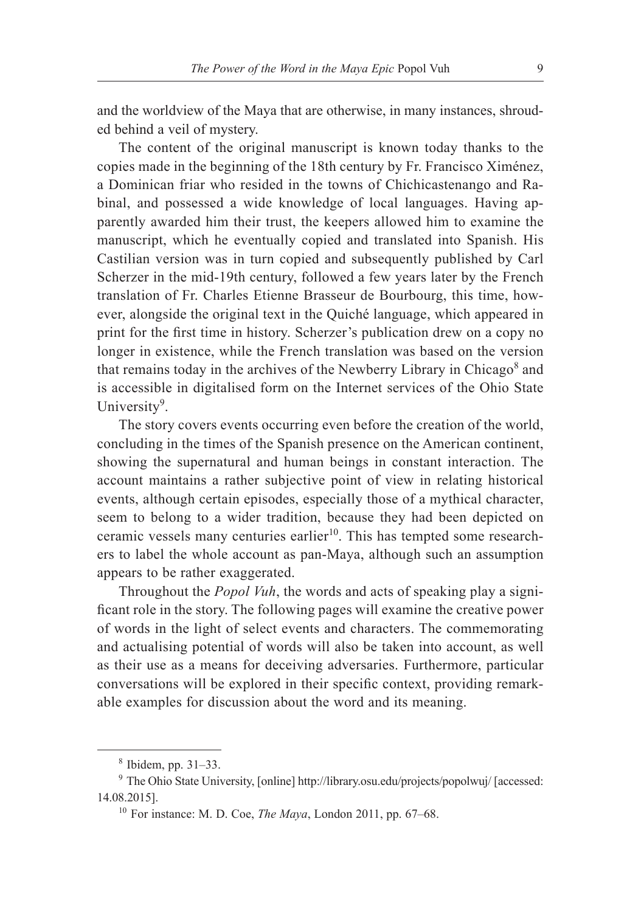and the worldview of the Maya that are otherwise, in many instances, shrouded behind a veil of mystery.

The content of the original manuscript is known today thanks to the copies made in the beginning of the 18th century by Fr. Francisco Ximénez, a Dominican friar who resided in the towns of Chichicastenango and Rabinal, and possessed a wide knowledge of local languages. Having apparently awarded him their trust, the keepers allowed him to examine the manuscript, which he eventually copied and translated into Spanish. His Castilian version was in turn copied and subsequently published by Carl Scherzer in the mid-19th century, followed a few years later by the French translation of Fr. Charles Etienne Brasseur de Bourbourg, this time, however, alongside the original text in the Quiché language, which appeared in print for the first time in history. Scherzer's publication drew on a copy no longer in existence, while the French translation was based on the version that remains today in the archives of the Newberry Library in Chicago<sup>8</sup> and is accessible in digitalised form on the Internet services of the Ohio State University<sup>9</sup>.

The story covers events occurring even before the creation of the world, concluding in the times of the Spanish presence on the American continent, showing the supernatural and human beings in constant interaction. The account maintains a rather subjective point of view in relating historical events, although certain episodes, especially those of a mythical character, seem to belong to a wider tradition, because they had been depicted on ceramic vessels many centuries earlier<sup>10</sup>. This has tempted some researchers to label the whole account as pan-Maya, although such an assumption appears to be rather exaggerated.

Throughout the *Popol Vuh*, the words and acts of speaking play a significant role in the story. The following pages will examine the creative power of words in the light of select events and characters. The commemorating and actualising potential of words will also be taken into account, as well as their use as a means for deceiving adversaries. Furthermore, particular conversations will be explored in their specific context, providing remarkable examples for discussion about the word and its meaning.

<sup>8</sup> Ibidem, pp. 31–33.

<sup>9</sup> The Ohio State University, [online] http://library.osu.edu/projects/popolwuj/ [accessed: 14.08.2015].

<sup>10</sup> For instance: M. D. Coe, *The Maya*, London 2011, pp. 67–68.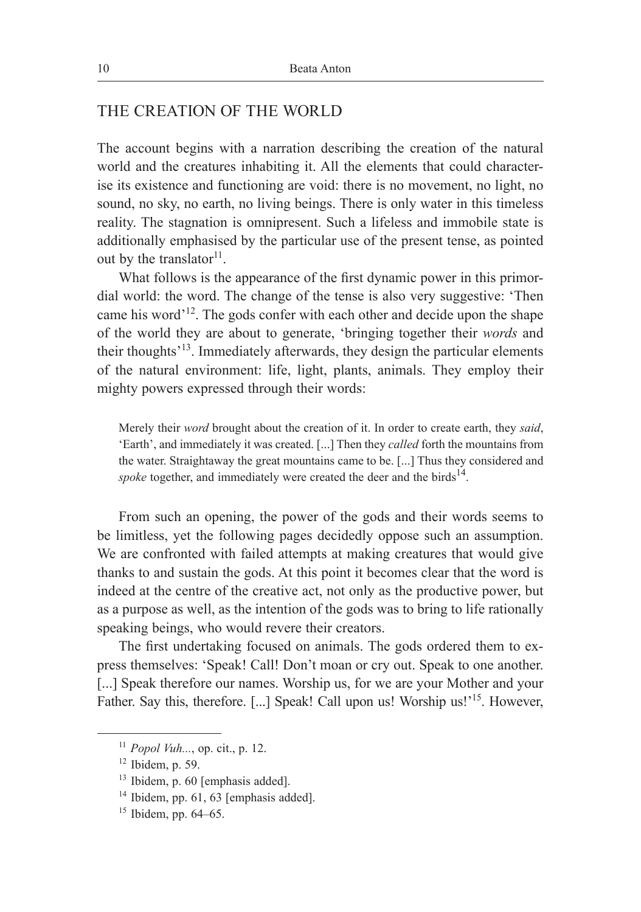# THE CREATION OF THE WORLD

The account begins with a narration describing the creation of the natural world and the creatures inhabiting it. All the elements that could characterise its existence and functioning are void: there is no movement, no light, no sound, no sky, no earth, no living beings. There is only water in this timeless reality. The stagnation is omnipresent. Such a lifeless and immobile state is additionally emphasised by the particular use of the present tense, as pointed out by the translator $^{11}$ .

What follows is the appearance of the first dynamic power in this primordial world: the word. The change of the tense is also very suggestive: 'Then came his word<sup>-12</sup>. The gods confer with each other and decide upon the shape of the world they are about to generate, 'bringing together their *words* and their thoughts'13. Immediately afterwards, they design the particular elements of the natural environment: life, light, plants, animals. They employ their mighty powers expressed through their words:

Merely their *word* brought about the creation of it. In order to create earth, they *said*, 'Earth', and immediately it was created. [...] Then they *called* forth the mountains from the water. Straightaway the great mountains came to be. [...] Thus they considered and spoke together, and immediately were created the deer and the birds<sup>14</sup>.

From such an opening, the power of the gods and their words seems to be limitless, yet the following pages decidedly oppose such an assumption. We are confronted with failed attempts at making creatures that would give thanks to and sustain the gods. At this point it becomes clear that the word is indeed at the centre of the creative act, not only as the productive power, but as a purpose as well, as the intention of the gods was to bring to life rationally speaking beings, who would revere their creators.

The first undertaking focused on animals. The gods ordered them to express themselves: 'Speak! Call! Don't moan or cry out. Speak to one another. [...] Speak therefore our names. Worship us, for we are your Mother and your Father. Say this, therefore. [...] Speak! Call upon us! Worship us!'<sup>15</sup>. However,

<sup>11</sup> *Popol Vuh...*, op. cit., p. 12.

 $12$  Ibidem, p. 59.

<sup>&</sup>lt;sup>13</sup> Ibidem, p. 60 [emphasis added].<br><sup>14</sup> Ibidem, pp. 61, 63 [emphasis added].

<sup>15</sup> Ibidem, pp. 64–65.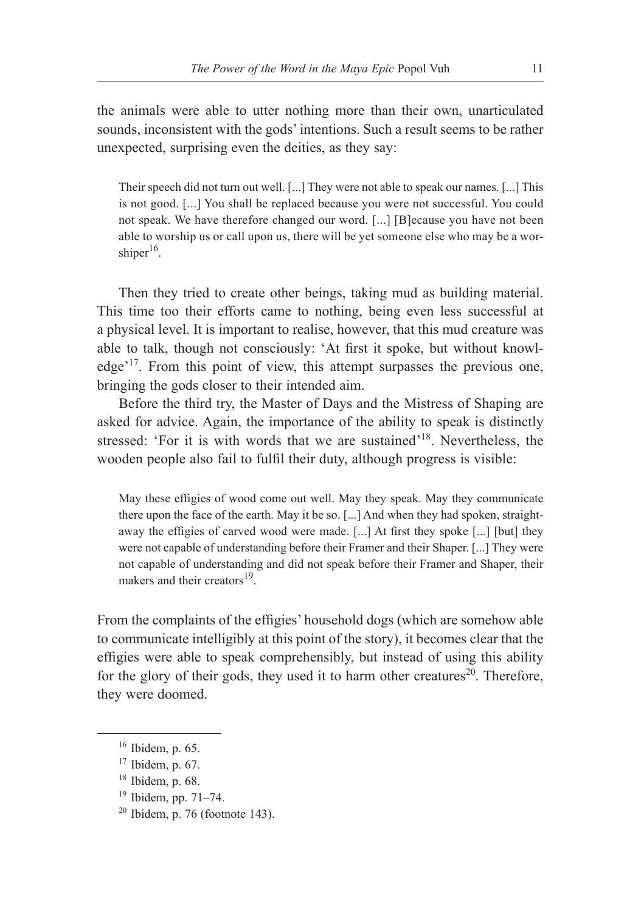the animals were able to utter nothing more than their own, unarticulated sounds, inconsistent with the gods' intentions. Such a result seems to be rather unexpected, surprising even the deities, as they say:

Their speech did not turn out well. [...] They were not able to speak our names. [...] This is not good. [...] You shall be replaced because you were not successful. You could not speak. We have therefore changed our word. [...] [B]ecause you have not been able to worship us or call upon us, there will be yet someone else who may be a worshiper $16$ .

Then they tried to create other beings, taking mud as building material. This time too their efforts came to nothing, being even less successful at a physical level. It is important to realise, however, that this mud creature was able to talk, though not consciously: 'At first it spoke, but without knowledge'17. From this point of view, this attempt surpasses the previous one, bringing the gods closer to their intended aim.

Before the third try, the Master of Days and the Mistress of Shaping are asked for advice. Again, the importance of the ability to speak is distinctly stressed: 'For it is with words that we are sustained'<sup>18</sup>. Nevertheless, the wooden people also fail to fulfil their duty, although progress is visible:

May these effigies of wood come out well. May they speak. May they communicate there upon the face of the earth. May it be so. [...] And when they had spoken, straightaway the effigies of carved wood were made. [...] At first they spoke [...] [but] they were not capable of understanding before their Framer and their Shaper. [...] They were not capable of understanding and did not speak before their Framer and Shaper, their makers and their creators<sup>19</sup>.

From the complaints of the effigies' household dogs (which are somehow able to communicate intelligibly at this point of the story), it becomes clear that the effigies were able to speak comprehensibly, but instead of using this ability for the glory of their gods, they used it to harm other creatures<sup>20</sup>. Therefore, they were doomed.

- $17$  Ibidem, p. 67.<br> $18$  Ibidem, p. 68.
- 
- <sup>19</sup> Ibidem, pp. 71–74.
- $20$  Ibidem, p. 76 (footnote 143).

<sup>16</sup> Ibidem, p. 65.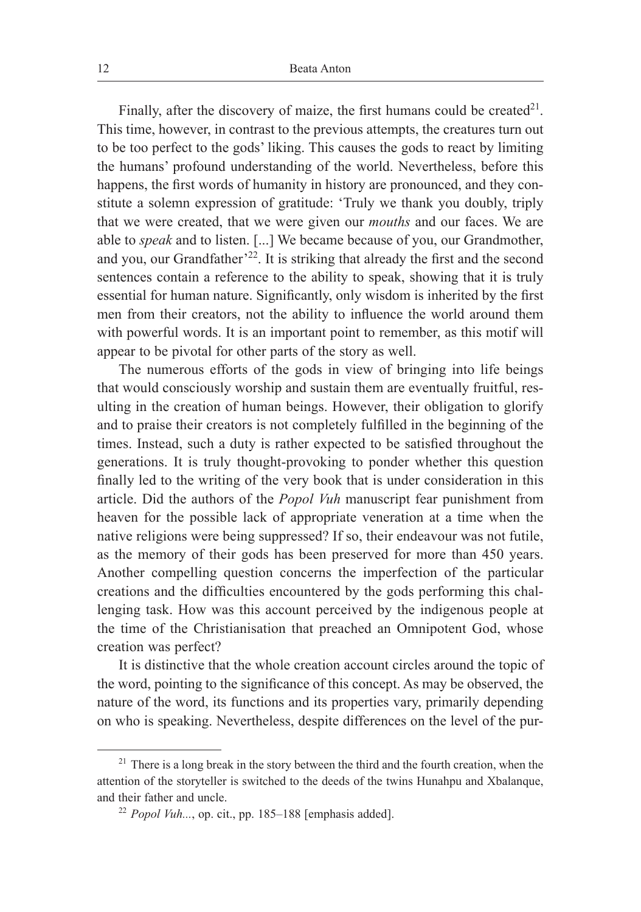Finally, after the discovery of maize, the first humans could be created  $2^1$ . This time, however, in contrast to the previous attempts, the creatures turn out to be too perfect to the gods' liking. This causes the gods to react by limiting the humans' profound understanding of the world. Nevertheless, before this happens, the first words of humanity in history are pronounced, and they constitute a solemn expression of gratitude: 'Truly we thank you doubly, triply that we were created, that we were given our *mouths* and our faces. We are able to *speak* and to listen. [...] We became because of you, our Grandmother, and you, our Grandfather<sup> $22$ </sup>. It is striking that already the first and the second sentences contain a reference to the ability to speak, showing that it is truly essential for human nature. Significantly, only wisdom is inherited by the first men from their creators, not the ability to influence the world around them with powerful words. It is an important point to remember, as this motif will appear to be pivotal for other parts of the story as well.

The numerous efforts of the gods in view of bringing into life beings that would consciously worship and sustain them are eventually fruitful, resulting in the creation of human beings. However, their obligation to glorify and to praise their creators is not completely fulfilled in the beginning of the times. Instead, such a duty is rather expected to be satisfied throughout the generations. It is truly thought-provoking to ponder whether this question finally led to the writing of the very book that is under consideration in this article. Did the authors of the *Popol Vuh* manuscript fear punishment from heaven for the possible lack of appropriate veneration at a time when the native religions were being suppressed? If so, their endeavour was not futile, as the memory of their gods has been preserved for more than 450 years. Another compelling question concerns the imperfection of the particular creations and the difficulties encountered by the gods performing this challenging task. How was this account perceived by the indigenous people at the time of the Christianisation that preached an Omnipotent God, whose creation was perfect?

It is distinctive that the whole creation account circles around the topic of the word, pointing to the significance of this concept. As may be observed, the nature of the word, its functions and its properties vary, primarily depending on who is speaking. Nevertheless, despite differences on the level of the pur-

 $21$  There is a long break in the story between the third and the fourth creation, when the attention of the storyteller is switched to the deeds of the twins Hunahpu and Xbalanque, and their father and uncle.<br><sup>22</sup> *Popol Vuh...*, op. cit., pp. 185–188 [emphasis added].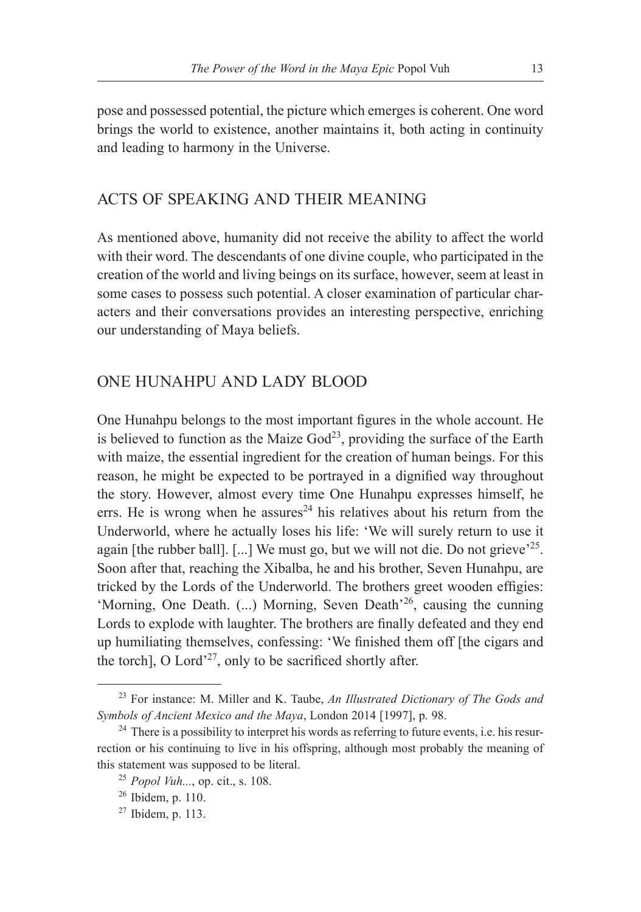pose and possessed potential, the picture which emerges is coherent. One word brings the world to existence, another maintains it, both acting in continuity and leading to harmony in the Universe.

# ACTS OF SPEAKING AND THEIR MEANING

As mentioned above, humanity did not receive the ability to affect the world with their word. The descendants of one divine couple, who participated in the creation of the world and living beings on its surface, however, seem at least in some cases to possess such potential. A closer examination of particular characters and their conversations provides an interesting perspective, enriching our understanding of Maya beliefs.

# ONE HUNAHPU AND LADY BLOOD

One Hunahpu belongs to the most important figures in the whole account. He is believed to function as the Maize  $God^{23}$ , providing the surface of the Earth with maize, the essential ingredient for the creation of human beings. For this reason, he might be expected to be portrayed in a dignified way throughout the story. However, almost every time One Hunahpu expresses himself, he errs. He is wrong when he assures<sup>24</sup> his relatives about his return from the Underworld, where he actually loses his life: 'We will surely return to use it again [the rubber ball].  $[\dots]$  We must go, but we will not die. Do not grieve<sup> $25$ </sup>. Soon after that, reaching the Xibalba, he and his brother, Seven Hunahpu, are tricked by the Lords of the Underworld. The brothers greet wooden effigies: 'Morning, One Death. (...) Morning, Seven Death'26, causing the cunning Lords to explode with laughter. The brothers are finally defeated and they end up humiliating themselves, confessing: 'We finished them off [the cigars and the torch], O Lord'<sup>27</sup>, only to be sacrificed shortly after.

<sup>23</sup> For instance: M. Miller and K. Taube, *An Illustrated Dictionary of The Gods and Symbols of Ancient Mexico and the Maya*, London 2014 [1997], p. 98.

 $24$  There is a possibility to interpret his words as referring to future events, i.e. his resurrection or his continuing to live in his offspring, although most probably the meaning of this statement was supposed to be literal. 25 *Popol Vuh...*, op. cit., s. 108.

<sup>26</sup> Ibidem, p. 110.

 $27$  Ibidem, p. 113.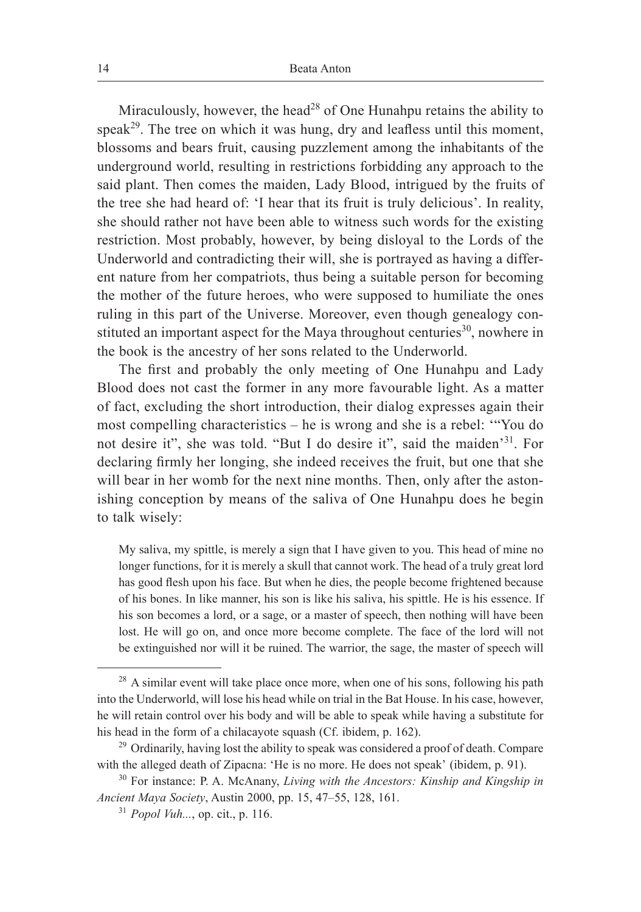Miraculously, however, the head<sup>28</sup> of One Hunahpu retains the ability to speak<sup>29</sup>. The tree on which it was hung, dry and leafless until this moment, blossoms and bears fruit, causing puzzlement among the inhabitants of the underground world, resulting in restrictions forbidding any approach to the said plant. Then comes the maiden, Lady Blood, intrigued by the fruits of the tree she had heard of: 'I hear that its fruit is truly delicious'. In reality, she should rather not have been able to witness such words for the existing restriction. Most probably, however, by being disloyal to the Lords of the Underworld and contradicting their will, she is portrayed as having a different nature from her compatriots, thus being a suitable person for becoming the mother of the future heroes, who were supposed to humiliate the ones ruling in this part of the Universe. Moreover, even though genealogy constituted an important aspect for the Maya throughout centuries<sup>30</sup>, nowhere in the book is the ancestry of her sons related to the Underworld.

The first and probably the only meeting of One Hunahpu and Lady Blood does not cast the former in any more favourable light. As a matter of fact, excluding the short introduction, their dialog expresses again their most compelling characteristics – he is wrong and she is a rebel: '"You do not desire it", she was told. "But I do desire it", said the maiden'31. For declaring firmly her longing, she indeed receives the fruit, but one that she will bear in her womb for the next nine months. Then, only after the astonishing conception by means of the saliva of One Hunahpu does he begin to talk wisely:

My saliva, my spittle, is merely a sign that I have given to you. This head of mine no longer functions, for it is merely a skull that cannot work. The head of a truly great lord has good flesh upon his face. But when he dies, the people become frightened because of his bones. In like manner, his son is like his saliva, his spittle. He is his essence. If his son becomes a lord, or a sage, or a master of speech, then nothing will have been lost. He will go on, and once more become complete. The face of the lord will not be extinguished nor will it be ruined. The warrior, the sage, the master of speech will

 $28$  A similar event will take place once more, when one of his sons, following his path into the Underworld, will lose his head while on trial in the Bat House. In his case, however, he will retain control over his body and will be able to speak while having a substitute for his head in the form of a chilacayote squash (Cf. ibidem, p. 162).

<sup>&</sup>lt;sup>29</sup> Ordinarily, having lost the ability to speak was considered a proof of death. Compare with the alleged death of Zipacna: 'He is no more. He does not speak' (ibidem, p. 91).

<sup>30</sup> For instance: P. A. McAnany, *Living with the Ancestors: Kinship and Kingship in Ancient Maya Society*, Austin 2000, pp. 15, 47–55, 128, 161.

<sup>31</sup> *Popol Vuh...*, op. cit., p. 116.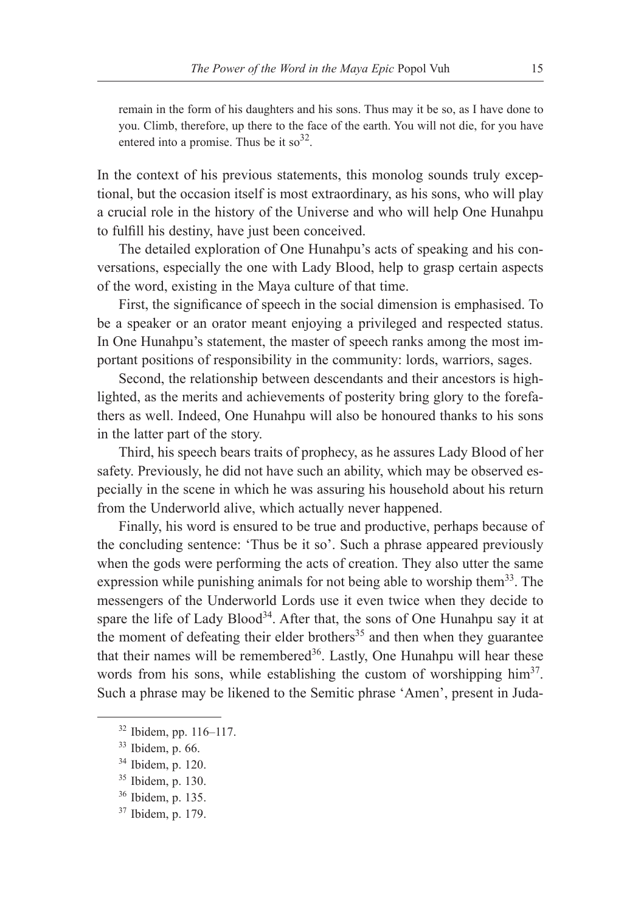remain in the form of his daughters and his sons. Thus may it be so, as I have done to you. Climb, therefore, up there to the face of the earth. You will not die, for you have entered into a promise. Thus be it so  $32$ .

In the context of his previous statements, this monolog sounds truly exceptional, but the occasion itself is most extraordinary, as his sons, who will play a crucial role in the history of the Universe and who will help One Hunahpu to fulfill his destiny, have just been conceived.

The detailed exploration of One Hunahpu's acts of speaking and his conversations, especially the one with Lady Blood, help to grasp certain aspects of the word, existing in the Maya culture of that time.

First, the significance of speech in the social dimension is emphasised. To be a speaker or an orator meant enjoying a privileged and respected status. In One Hunahpu's statement, the master of speech ranks among the most important positions of responsibility in the community: lords, warriors, sages.

Second, the relationship between descendants and their ancestors is highlighted, as the merits and achievements of posterity bring glory to the forefathers as well. Indeed, One Hunahpu will also be honoured thanks to his sons in the latter part of the story.

Third, his speech bears traits of prophecy, as he assures Lady Blood of her safety. Previously, he did not have such an ability, which may be observed especially in the scene in which he was assuring his household about his return from the Underworld alive, which actually never happened.

Finally, his word is ensured to be true and productive, perhaps because of the concluding sentence: 'Thus be it so'. Such a phrase appeared previously when the gods were performing the acts of creation. They also utter the same expression while punishing animals for not being able to worship them<sup>33</sup>. The messengers of the Underworld Lords use it even twice when they decide to spare the life of Lady Blood<sup>34</sup>. After that, the sons of One Hunahpu say it at the moment of defeating their elder brothers<sup>35</sup> and then when they guarantee that their names will be remembered<sup>36</sup>. Lastly, One Hunahpu will hear these words from his sons, while establishing the custom of worshipping him<sup>37</sup>. Such a phrase may be likened to the Semitic phrase 'Amen', present in Juda-

<sup>32</sup> Ibidem, pp. 116–117.

<sup>33</sup> Ibidem, p. 66.

<sup>34</sup> Ibidem, p. 120.

<sup>35</sup> Ibidem, p. 130.

<sup>36</sup> Ibidem, p. 135.

<sup>37</sup> Ibidem, p. 179.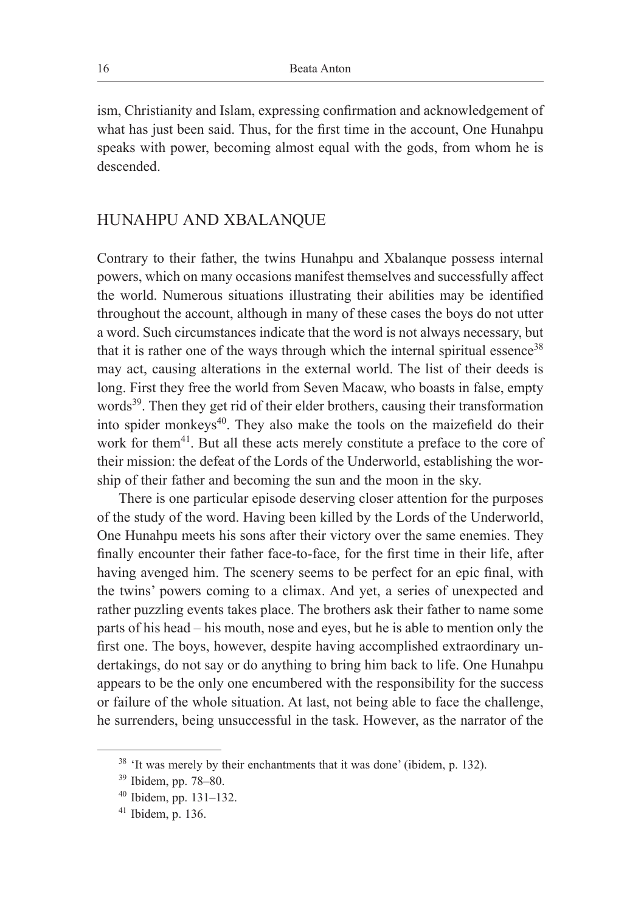ism, Christianity and Islam, expressing confirmation and acknowledgement of what has just been said. Thus, for the first time in the account, One Hunahpu speaks with power, becoming almost equal with the gods, from whom he is descended.

### HUNAHPU AND XBALANQUE

Contrary to their father, the twins Hunahpu and Xbalanque possess internal powers, which on many occasions manifest themselves and successfully affect the world. Numerous situations illustrating their abilities may be identified throughout the account, although in many of these cases the boys do not utter a word. Such circumstances indicate that the word is not always necessary, but that it is rather one of the ways through which the internal spiritual essence<sup>38</sup> may act, causing alterations in the external world. The list of their deeds is long. First they free the world from Seven Macaw, who boasts in false, empty words<sup>39</sup>. Then they get rid of their elder brothers, causing their transformation into spider monkeys<sup>40</sup>. They also make the tools on the maizefield do their work for them<sup>41</sup>. But all these acts merely constitute a preface to the core of their mission: the defeat of the Lords of the Underworld, establishing the worship of their father and becoming the sun and the moon in the sky.

There is one particular episode deserving closer attention for the purposes of the study of the word. Having been killed by the Lords of the Underworld, One Hunahpu meets his sons after their victory over the same enemies. They finally encounter their father face-to-face, for the first time in their life, after having avenged him. The scenery seems to be perfect for an epic final, with the twins' powers coming to a climax. And yet, a series of unexpected and rather puzzling events takes place. The brothers ask their father to name some parts of his head – his mouth, nose and eyes, but he is able to mention only the first one. The boys, however, despite having accomplished extraordinary undertakings, do not say or do anything to bring him back to life. One Hunahpu appears to be the only one encumbered with the responsibility for the success or failure of the whole situation. At last, not being able to face the challenge, he surrenders, being unsuccessful in the task. However, as the narrator of the

<sup>&</sup>lt;sup>38</sup> 'It was merely by their enchantments that it was done' (ibidem, p. 132).

<sup>39</sup> Ibidem, pp. 78–80.

<sup>40</sup> Ibidem, pp. 131–132.

<sup>41</sup> Ibidem, p. 136.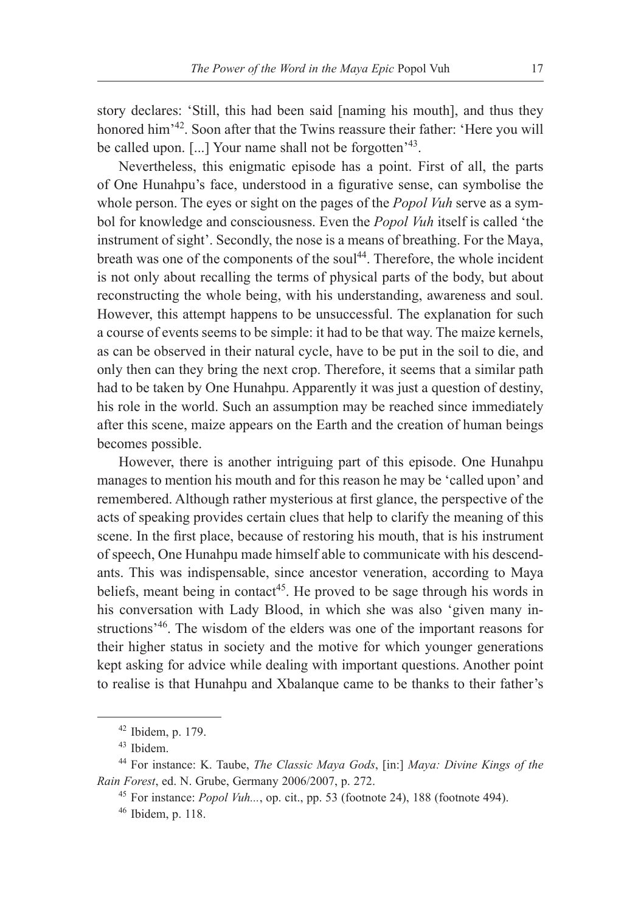story declares: 'Still, this had been said [naming his mouth], and thus they honored him'<sup>42</sup>. Soon after that the Twins reassure their father: 'Here you will be called upon. [...] Your name shall not be forgotten<sup>'43</sup>.

Nevertheless, this enigmatic episode has a point. First of all, the parts of One Hunahpu's face, understood in a figurative sense, can symbolise the whole person. The eyes or sight on the pages of the *Popol Vuh* serve as a symbol for knowledge and consciousness. Even the *Popol Vuh* itself is called 'the instrument of sight'. Secondly, the nose is a means of breathing. For the Maya, breath was one of the components of the soul<sup>44</sup>. Therefore, the whole incident is not only about recalling the terms of physical parts of the body, but about reconstructing the whole being, with his understanding, awareness and soul. However, this attempt happens to be unsuccessful. The explanation for such a course of events seems to be simple: it had to be that way. The maize kernels, as can be observed in their natural cycle, have to be put in the soil to die, and only then can they bring the next crop. Therefore, it seems that a similar path had to be taken by One Hunahpu. Apparently it was just a question of destiny, his role in the world. Such an assumption may be reached since immediately after this scene, maize appears on the Earth and the creation of human beings becomes possible.

However, there is another intriguing part of this episode. One Hunahpu manages to mention his mouth and for this reason he may be 'called upon' and remembered. Although rather mysterious at first glance, the perspective of the acts of speaking provides certain clues that help to clarify the meaning of this scene. In the first place, because of restoring his mouth, that is his instrument of speech, One Hunahpu made himself able to communicate with his descendants. This was indispensable, since ancestor veneration, according to Maya beliefs, meant being in contact<sup>45</sup>. He proved to be sage through his words in his conversation with Lady Blood, in which she was also 'given many instructions'46. The wisdom of the elders was one of the important reasons for their higher status in society and the motive for which younger generations kept asking for advice while dealing with important questions. Another point to realise is that Hunahpu and Xbalanque came to be thanks to their father's

<sup>42</sup> Ibidem, p. 179.

<sup>43</sup> Ibidem.

<sup>44</sup> For instance: K. Taube, *The Classic Maya Gods*, [in:] *Maya: Divine Kings of the Rain Forest*, ed. N. Grube, Germany 2006/2007, p. 272.

<sup>45</sup> For instance: *Popol Vuh...*, op. cit., pp. 53 (footnote 24), 188 (footnote 494).

<sup>46</sup> Ibidem, p. 118.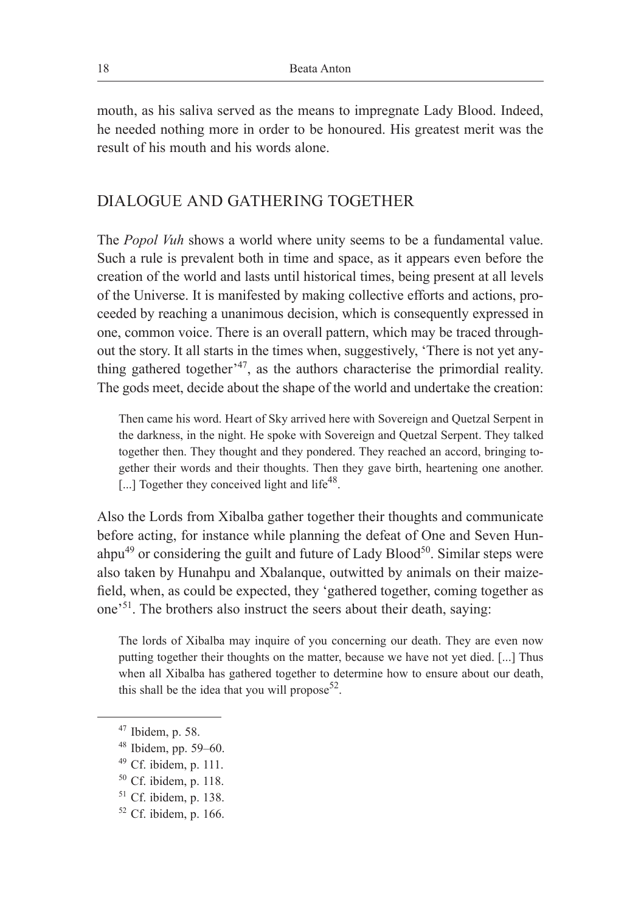mouth, as his saliva served as the means to impregnate Lady Blood. Indeed, he needed nothing more in order to be honoured. His greatest merit was the result of his mouth and his words alone.

# DIALOGUE AND GATHERING TOGETHER

The *Popol Vuh* shows a world where unity seems to be a fundamental value. Such a rule is prevalent both in time and space, as it appears even before the creation of the world and lasts until historical times, being present at all levels of the Universe. It is manifested by making collective efforts and actions, proceeded by reaching a unanimous decision, which is consequently expressed in one, common voice. There is an overall pattern, which may be traced throughout the story. It all starts in the times when, suggestively, 'There is not yet anything gathered together<sup> $347$ </sup>, as the authors characterise the primordial reality. The gods meet, decide about the shape of the world and undertake the creation:

Then came his word. Heart of Sky arrived here with Sovereign and Quetzal Serpent in the darkness, in the night. He spoke with Sovereign and Quetzal Serpent. They talked together then. They thought and they pondered. They reached an accord, bringing together their words and their thoughts. Then they gave birth, heartening one another.  $\left[ \ldots \right]$  Together they conceived light and life<sup>48</sup>.

Also the Lords from Xibalba gather together their thoughts and communicate before acting, for instance while planning the defeat of One and Seven Hunahpu<sup>49</sup> or considering the guilt and future of Lady Blood<sup>50</sup>. Similar steps were also taken by Hunahpu and Xbalanque, outwitted by animals on their maizefield, when, as could be expected, they 'gathered together, coming together as one'51. The brothers also instruct the seers about their death, saying:

The lords of Xibalba may inquire of you concerning our death. They are even now putting together their thoughts on the matter, because we have not yet died. [...] Thus when all Xibalba has gathered together to determine how to ensure about our death, this shall be the idea that you will propose  $52$ .

<sup>47</sup> Ibidem, p. 58.

<sup>48</sup> Ibidem, pp. 59–60.

<sup>49</sup> Cf. ibidem, p. 111.

<sup>50</sup> Cf. ibidem, p. 118.

<sup>51</sup> Cf. ibidem, p. 138.

<sup>52</sup> Cf. ibidem, p. 166.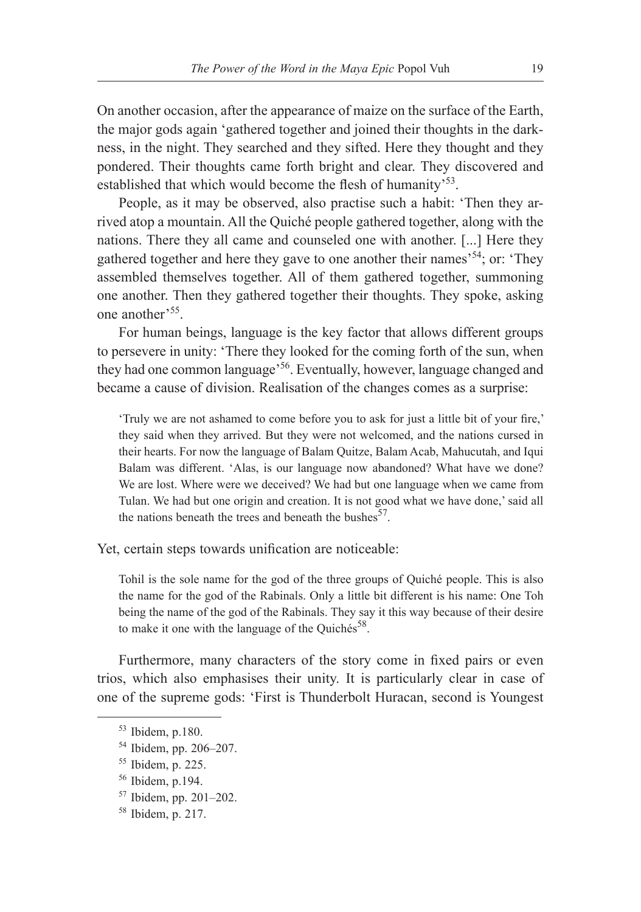On another occasion, after the appearance of maize on the surface of the Earth, the major gods again 'gathered together and joined their thoughts in the darkness, in the night. They searched and they sifted. Here they thought and they pondered. Their thoughts came forth bright and clear. They discovered and established that which would become the flesh of humanity<sup>53</sup>.

People, as it may be observed, also practise such a habit: 'Then they arrived atop a mountain. All the Quiché people gathered together, along with the nations. There they all came and counseled one with another. [...] Here they gathered together and here they gave to one another their names'<sup>54</sup>; or: 'They assembled themselves together. All of them gathered together, summoning one another. Then they gathered together their thoughts. They spoke, asking one another'55.

For human beings, language is the key factor that allows different groups to persevere in unity: 'There they looked for the coming forth of the sun, when they had one common language'<sup>56</sup>. Eventually, however, language changed and became a cause of division. Realisation of the changes comes as a surprise:

'Truly we are not ashamed to come before you to ask for just a little bit of your fire,' they said when they arrived. But they were not welcomed, and the nations cursed in their hearts. For now the language of Balam Quitze, Balam Acab, Mahucutah, and Iqui Balam was different. 'Alas, is our language now abandoned? What have we done? We are lost. Where were we deceived? We had but one language when we came from Tulan. We had but one origin and creation. It is not good what we have done,' said all the nations beneath the trees and beneath the bushes  $57$ .

Yet, certain steps towards unification are noticeable:

Tohil is the sole name for the god of the three groups of Quiché people. This is also the name for the god of the Rabinals. Only a little bit different is his name: One Toh being the name of the god of the Rabinals. They say it this way because of their desire to make it one with the language of the Quichés<sup>58</sup>.

Furthermore, many characters of the story come in fixed pairs or even trios, which also emphasises their unity. It is particularly clear in case of one of the supreme gods: 'First is Thunderbolt Huracan, second is Youngest

- <sup>57</sup> Ibidem, pp. 201–202.
- <sup>58</sup> Ibidem, p. 217.

<sup>53</sup> Ibidem, p.180.

<sup>54</sup> Ibidem, pp. 206–207.

<sup>55</sup> Ibidem, p. 225.

<sup>56</sup> Ibidem, p.194.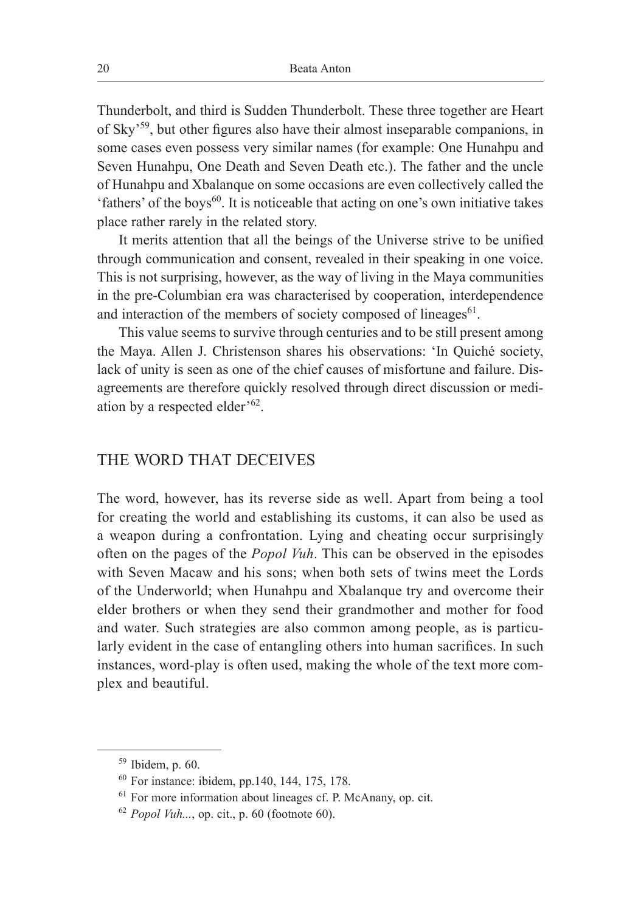Thunderbolt, and third is Sudden Thunderbolt. These three together are Heart of Sky'<sup>59</sup>, but other figures also have their almost inseparable companions, in some cases even possess very similar names (for example: One Hunahpu and Seven Hunahpu, One Death and Seven Death etc.). The father and the uncle of Hunahpu and Xbalanque on some occasions are even collectively called the 'fathers' of the boys $^{60}$ . It is noticeable that acting on one's own initiative takes place rather rarely in the related story.

It merits attention that all the beings of the Universe strive to be unified through communication and consent, revealed in their speaking in one voice. This is not surprising, however, as the way of living in the Maya communities in the pre-Columbian era was characterised by cooperation, interdependence and interaction of the members of society composed of lineages $61$ .

This value seems to survive through centuries and to be still present among the Maya. Allen J. Christenson shares his observations: 'In Quiché society, lack of unity is seen as one of the chief causes of misfortune and failure. Disagreements are therefore quickly resolved through direct discussion or mediation by a respected elder<sup>'62</sup>.

#### THE WORD THAT DECEIVES

The word, however, has its reverse side as well. Apart from being a tool for creating the world and establishing its customs, it can also be used as a weapon during a confrontation. Lying and cheating occur surprisingly often on the pages of the *Popol Vuh*. This can be observed in the episodes with Seven Macaw and his sons; when both sets of twins meet the Lords of the Underworld; when Hunahpu and Xbalanque try and overcome their elder brothers or when they send their grandmother and mother for food and water. Such strategies are also common among people, as is particularly evident in the case of entangling others into human sacrifices. In such instances, word-play is often used, making the whole of the text more complex and beautiful.

<sup>59</sup> Ibidem, p. 60.

<sup>60</sup> For instance: ibidem, pp.140, 144, 175, 178.

<sup>61</sup> For more information about lineages cf. P. McAnany, op. cit.

 $62$  *Popol Vuh...*, op. cit., p. 60 (footnote 60).